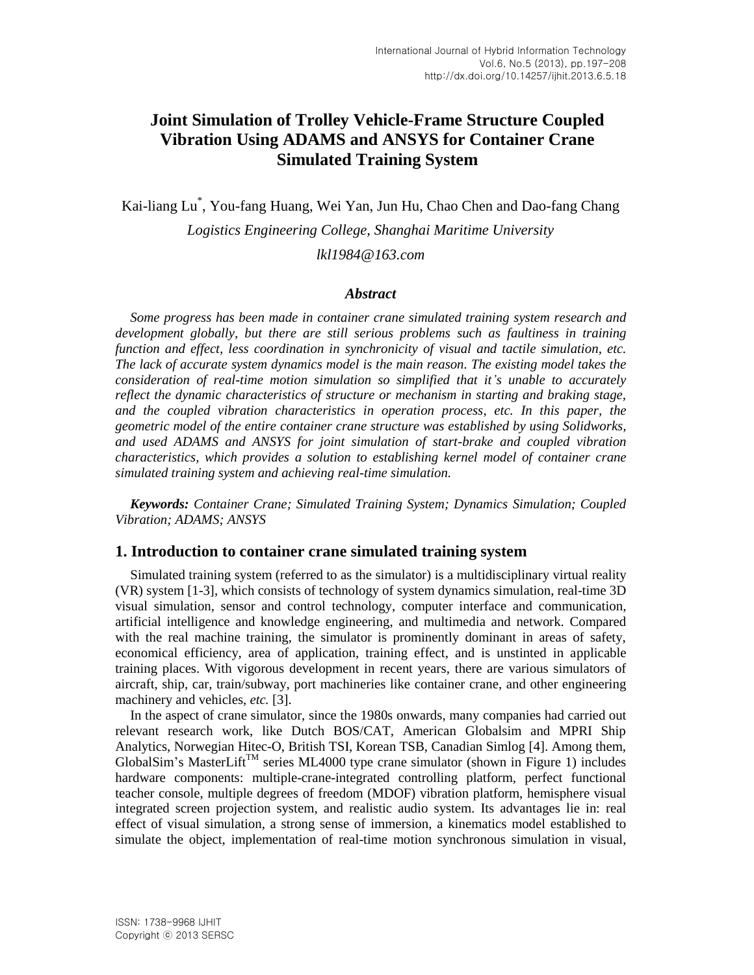# **Joint Simulation of Trolley Vehicle-Frame Structure Coupled Vibration Using ADAMS and ANSYS for Container Crane Simulated Training System**

Kai-liang Lu\* , You-fang Huang, Wei Yan, Jun Hu, Chao Chen and Dao-fang Chang

*Logistics Engineering College, Shanghai Maritime University lkl1984@163.com*

#### *Abstract*

*Some progress has been made in container crane simulated training system research and development globally, but there are still serious problems such as faultiness in training function and effect, less coordination in synchronicity of visual and tactile simulation, etc. The lack of accurate system dynamics model is the main reason. The existing model takes the consideration of real-time motion simulation so simplified that it's unable to accurately reflect the dynamic characteristics of structure or mechanism in starting and braking stage, and the coupled vibration characteristics in operation process, etc. In this paper, the geometric model of the entire container crane structure was established by using Solidworks, and used ADAMS and ANSYS for joint simulation of start-brake and coupled vibration characteristics, which provides a solution to establishing kernel model of container crane simulated training system and achieving real-time simulation.*

*Keywords: Container Crane; Simulated Training System; Dynamics Simulation; Coupled Vibration; ADAMS; ANSYS*

#### **1. Introduction to container crane simulated training system**

Simulated training system (referred to as the simulator) is a multidisciplinary virtual reality (VR) system [1-3], which consists of technology of system dynamics simulation, real-time 3D visual simulation, sensor and control technology, computer interface and communication, artificial intelligence and knowledge engineering, and multimedia and network. Compared with the real machine training, the simulator is prominently dominant in areas of safety, economical efficiency, area of application, training effect, and is unstinted in applicable training places. With vigorous development in recent years, there are various simulators of aircraft, ship, car, train/subway, port machineries like container crane, and other engineering machinery and vehicles, *etc.* [3].

In the aspect of crane simulator, since the 1980s onwards, many companies had carried out relevant research work, like Dutch BOS/CAT, American Globalsim and MPRI Ship Analytics, Norwegian Hitec-O, British TSI, Korean TSB, Canadian Simlog [4]. Among them, GlobalSim's MasterLift<sup>TM</sup> series ML4000 type crane simulator (shown in Figure 1) includes hardware components: multiple-crane-integrated controlling platform, perfect functional teacher console, multiple degrees of freedom (MDOF) vibration platform, hemisphere visual integrated screen projection system, and realistic audio system. Its advantages lie in: real effect of visual simulation, a strong sense of immersion, a kinematics model established to simulate the object, implementation of real-time motion synchronous simulation in visual,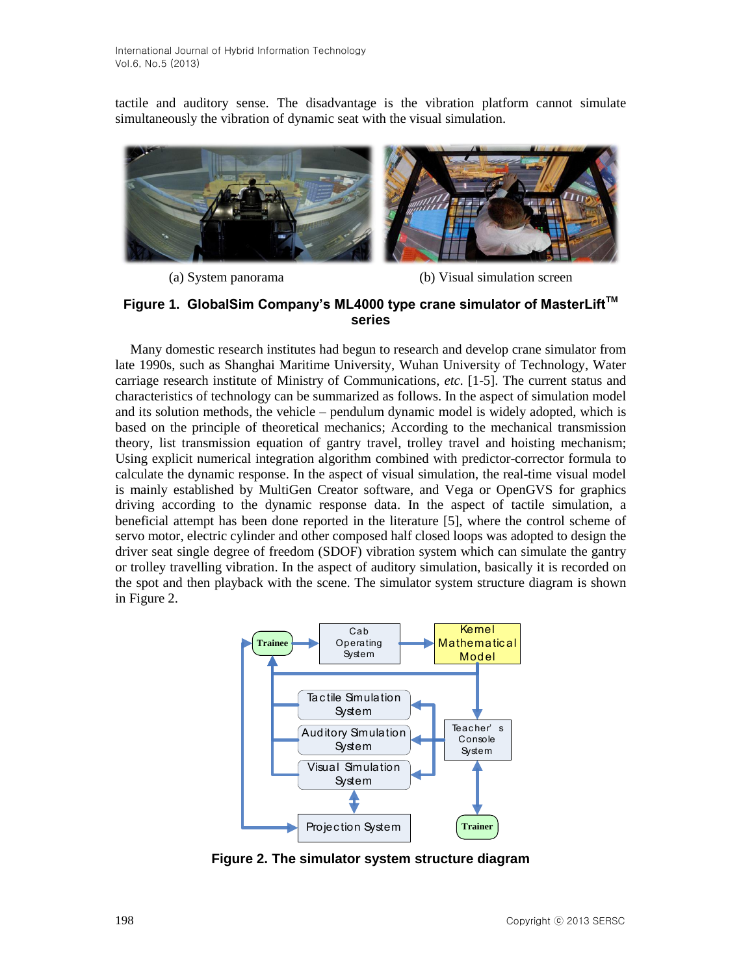tactile and auditory sense. The disadvantage is the vibration platform cannot simulate simultaneously the vibration of dynamic seat with the visual simulation.



(a) System panorama (b) Visual simulation screen

# **Figure 1. GlobalSim Company's ML4000 type crane simulator of MasterLiftTM series**

Many domestic research institutes had begun to research and develop crane simulator from late 1990s, such as Shanghai Maritime University, Wuhan University of Technology, Water carriage research institute of Ministry of Communications, *etc.* [1-5]. The current status and characteristics of technology can be summarized as follows. In the aspect of simulation model and its solution methods, the vehicle – pendulum dynamic model is widely adopted, which is based on the principle of theoretical mechanics; According to the mechanical transmission theory, list transmission equation of gantry travel, trolley travel and hoisting mechanism; Using explicit numerical integration algorithm combined with predictor-corrector formula to calculate the dynamic response. In the aspect of visual simulation, the real-time visual model is mainly established by MultiGen Creator software, and Vega or OpenGVS for graphics driving according to the dynamic response data. In the aspect of tactile simulation, a beneficial attempt has been done reported in the literature [5], where the control scheme of servo motor, electric cylinder and other composed half closed loops was adopted to design the driver seat single degree of freedom (SDOF) vibration system which can simulate the gantry or trolley travelling vibration. In the aspect of auditory simulation, basically it is recorded on the spot and then playback with the scene. The simulator system structure diagram is shown in Figure 2.



**Figure 2. The simulator system structure diagram**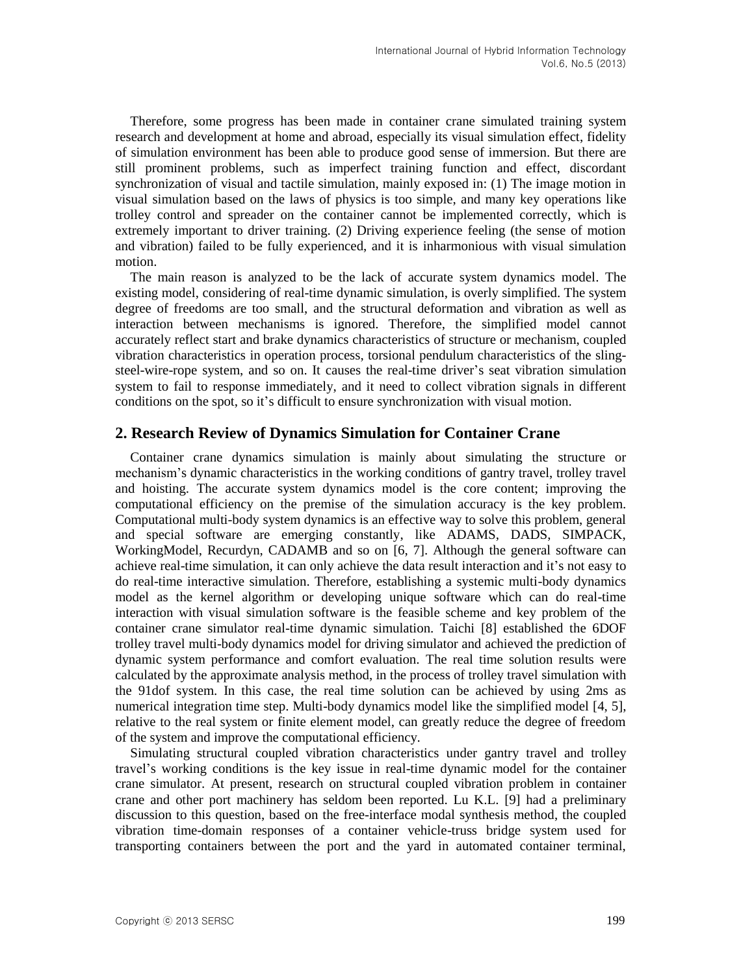Therefore, some progress has been made in container crane simulated training system research and development at home and abroad, especially its visual simulation effect, fidelity of simulation environment has been able to produce good sense of immersion. But there are still prominent problems, such as imperfect training function and effect, discordant synchronization of visual and tactile simulation, mainly exposed in: (1) The image motion in visual simulation based on the laws of physics is too simple, and many key operations like trolley control and spreader on the container cannot be implemented correctly, which is extremely important to driver training. (2) Driving experience feeling (the sense of motion and vibration) failed to be fully experienced, and it is inharmonious with visual simulation motion.

The main reason is analyzed to be the lack of accurate system dynamics model. The existing model, considering of real-time dynamic simulation, is overly simplified. The system degree of freedoms are too small, and the structural deformation and vibration as well as interaction between mechanisms is ignored. Therefore, the simplified model cannot accurately reflect start and brake dynamics characteristics of structure or mechanism, coupled vibration characteristics in operation process, torsional pendulum characteristics of the slingsteel-wire-rope system, and so on. It causes the real-time driver's seat vibration simulation system to fail to response immediately, and it need to collect vibration signals in different conditions on the spot, so it's difficult to ensure synchronization with visual motion.

## **2. Research Review of Dynamics Simulation for Container Crane**

Container crane dynamics simulation is mainly about simulating the structure or mechanism's dynamic characteristics in the working conditions of gantry travel, trolley travel and hoisting. The accurate system dynamics model is the core content; improving the computational efficiency on the premise of the simulation accuracy is the key problem. Computational multi-body system dynamics is an effective way to solve this problem, general and special software are emerging constantly, like ADAMS, DADS, SIMPACK, WorkingModel, Recurdyn, CADAMB and so on [6, 7]. Although the general software can achieve real-time simulation, it can only achieve the data result interaction and it's not easy to do real-time interactive simulation. Therefore, establishing a systemic multi-body dynamics model as the kernel algorithm or developing unique software which can do real-time interaction with visual simulation software is the feasible scheme and key problem of the container crane simulator real-time dynamic simulation. Taichi [8] established the 6DOF trolley travel multi-body dynamics model for driving simulator and achieved the prediction of dynamic system performance and comfort evaluation. The real time solution results were calculated by the approximate analysis method, in the process of trolley travel simulation with the 91dof system. In this case, the real time solution can be achieved by using 2ms as numerical integration time step. Multi-body dynamics model like the simplified model [4, 5], relative to the real system or finite element model, can greatly reduce the degree of freedom of the system and improve the computational efficiency.

Simulating structural coupled vibration characteristics under gantry travel and trolley travel's working conditions is the key issue in real-time dynamic model for the container crane simulator. At present, research on structural coupled vibration problem in container crane and other port machinery has seldom been reported. Lu K.L. [9] had a preliminary discussion to this question, based on the free-interface modal synthesis method, the coupled vibration time-domain responses of a container vehicle-truss bridge system used for transporting containers between the port and the yard in automated container terminal,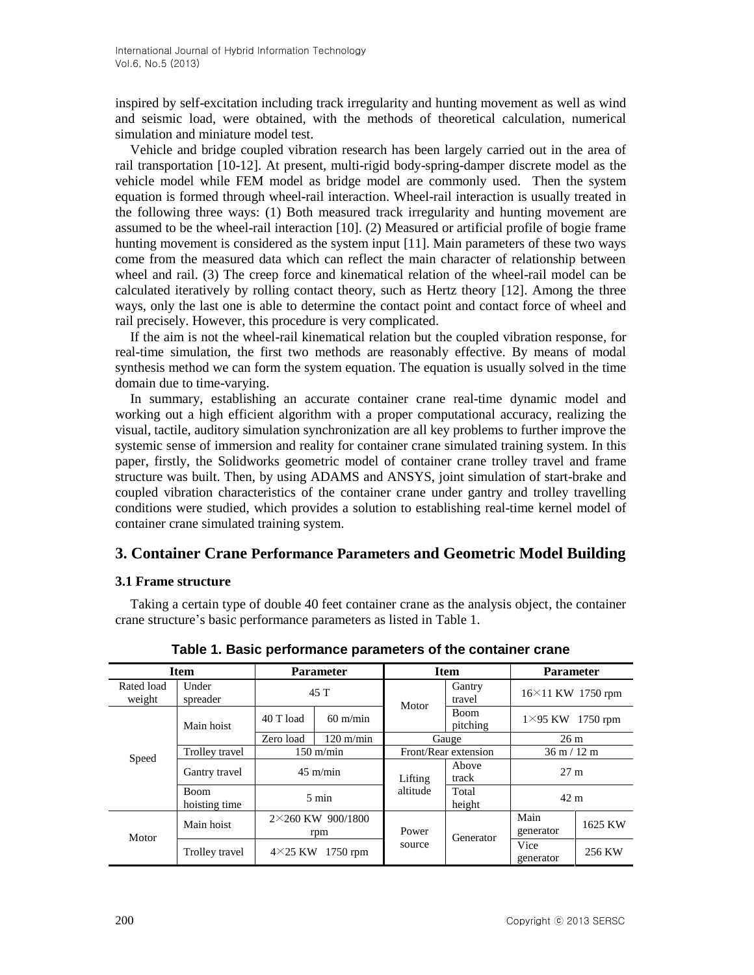inspired by self-excitation including track irregularity and hunting movement as well as wind and seismic load, were obtained, with the methods of theoretical calculation, numerical simulation and miniature model test.

Vehicle and bridge coupled vibration research has been largely carried out in the area of rail transportation [10-12]. At present, multi-rigid body-spring-damper discrete model as the vehicle model while FEM model as bridge model are commonly used. Then the system equation is formed through wheel-rail interaction. Wheel-rail interaction is usually treated in the following three ways: (1) Both measured track irregularity and hunting movement are assumed to be the wheel-rail interaction [10]. (2) Measured or artificial profile of bogie frame hunting movement is considered as the system input [11]. Main parameters of these two ways come from the measured data which can reflect the main character of relationship between wheel and rail. (3) The creep force and kinematical relation of the wheel-rail model can be calculated iteratively by rolling contact theory, such as Hertz theory [12]. Among the three ways, only the last one is able to determine the contact point and contact force of wheel and rail precisely. However, this procedure is very complicated.

If the aim is not the wheel-rail kinematical relation but the coupled vibration response, for real-time simulation, the first two methods are reasonably effective. By means of modal synthesis method we can form the system equation. The equation is usually solved in the time domain due to time-varying.

In summary, establishing an accurate container crane real-time dynamic model and working out a high efficient algorithm with a proper computational accuracy, realizing the visual, tactile, auditory simulation synchronization are all key problems to further improve the systemic sense of immersion and reality for container crane simulated training system. In this paper, firstly, the Solidworks geometric model of container crane trolley travel and frame structure was built. Then, by using ADAMS and ANSYS, joint simulation of start-brake and coupled vibration characteristics of the container crane under gantry and trolley travelling conditions were studied, which provides a solution to establishing real-time kernel model of container crane simulated training system.

# **3. Container Crane Performance Parameters and Geometric Model Building**

#### **3.1 Frame structure**

Taking a certain type of double 40 feet container crane as the analysis object, the container crane structure's basic performance parameters as listed in Table 1.

| <b>Item</b>          |                              | <b>Parameter</b>                |                     | <b>Item</b>          |                  | <b>Parameter</b>              |         |
|----------------------|------------------------------|---------------------------------|---------------------|----------------------|------------------|-------------------------------|---------|
| Rated load<br>weight | Under<br>spreader            | 45T                             |                     | Motor                | Gantry<br>travel | $16\times11$ KW 1750 rpm      |         |
|                      | Main hoist                   | 40 T load                       | $60 \text{ m/min}$  |                      | Boom<br>pitching | $1\times$ 95 KW<br>$1750$ rpm |         |
|                      |                              | Zero load                       | $120 \text{ m/min}$ | Gauge                |                  | 26 <sub>m</sub>               |         |
| Trolley travel       |                              | $150 \text{ m/min}$             |                     | Front/Rear extension |                  | $36 \text{ m} / 12 \text{ m}$ |         |
| Speed                | Gantry travel                | $45 \text{ m/min}$              |                     | Lifting<br>altitude  | Above<br>track   | 27 <sub>m</sub>               |         |
|                      | <b>Boom</b><br>hoisting time | $5 \text{ min}$                 |                     |                      | Total<br>height  | 42 m                          |         |
| Motor                | Main hoist                   | $2\times260$ KW 900/1800<br>rpm |                     | Power<br>source      | Generator        | Main<br>generator             | 1625 KW |
|                      | Trolley travel               | $1750$ rpm<br>$4\times25$ KW    |                     |                      |                  | Vice<br>generator             | 256 KW  |

**Table 1. Basic performance parameters of the container crane**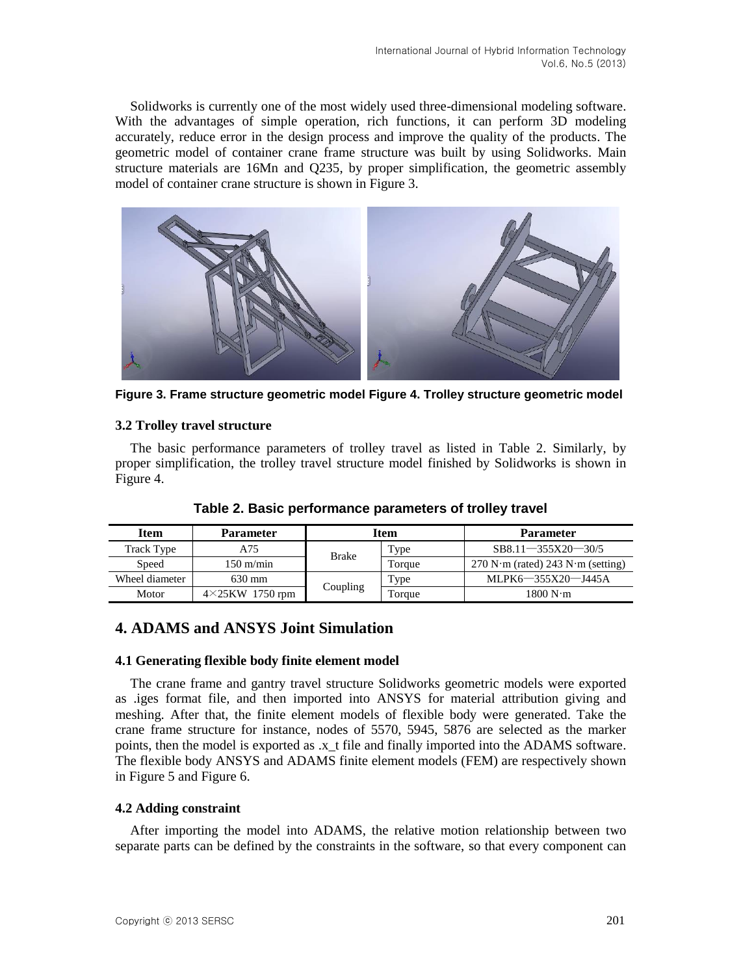Solidworks is currently one of the most widely used three-dimensional modeling software. With the advantages of simple operation, rich functions, it can perform 3D modeling accurately, reduce error in the design process and improve the quality of the products. The geometric model of container crane frame structure was built by using Solidworks. Main structure materials are 16Mn and Q235, by proper simplification, the geometric assembly model of container crane structure is shown in Figure 3.



**Figure 3. Frame structure geometric model Figure 4. Trolley structure geometric model**

#### **3.2 Trolley travel structure**

The basic performance parameters of trolley travel as listed in Table 2. Similarly, by proper simplification, the trolley travel structure model finished by Solidworks is shown in Figure 4.

| <b>Item</b>                      | <b>Parameter</b>    | <b>Item</b> |             | <b>Parameter</b>                    |  |
|----------------------------------|---------------------|-------------|-------------|-------------------------------------|--|
| Track Type                       | A75                 | Brake       | <b>Type</b> | $SB8.11 - 355X20 - 30/5$            |  |
| Speed                            | $150 \text{ m/min}$ |             | Torque      | $270$ N·m (rated) 243 N·m (setting) |  |
| Wheel diameter                   | 630 mm              |             | Type        | MLPK6-355X20-J445A                  |  |
| $4\times25$ KW 1750 rpm<br>Motor |                     | Coupling    | Torque      | 1800 N·m                            |  |

**Table 2. Basic performance parameters of trolley travel**

# **4. ADAMS and ANSYS Joint Simulation**

#### **4.1 Generating flexible body finite element model**

The crane frame and gantry travel structure Solidworks geometric models were exported as .iges format file, and then imported into ANSYS for material attribution giving and meshing. After that, the finite element models of flexible body were generated. Take the crane frame structure for instance, nodes of 5570, 5945, 5876 are selected as the marker points, then the model is exported as .x\_t file and finally imported into the ADAMS software. The flexible body ANSYS and ADAMS finite element models (FEM) are respectively shown in Figure 5 and Figure 6.

#### **4.2 Adding constraint**

After importing the model into ADAMS, the relative motion relationship between two separate parts can be defined by the constraints in the software, so that every component can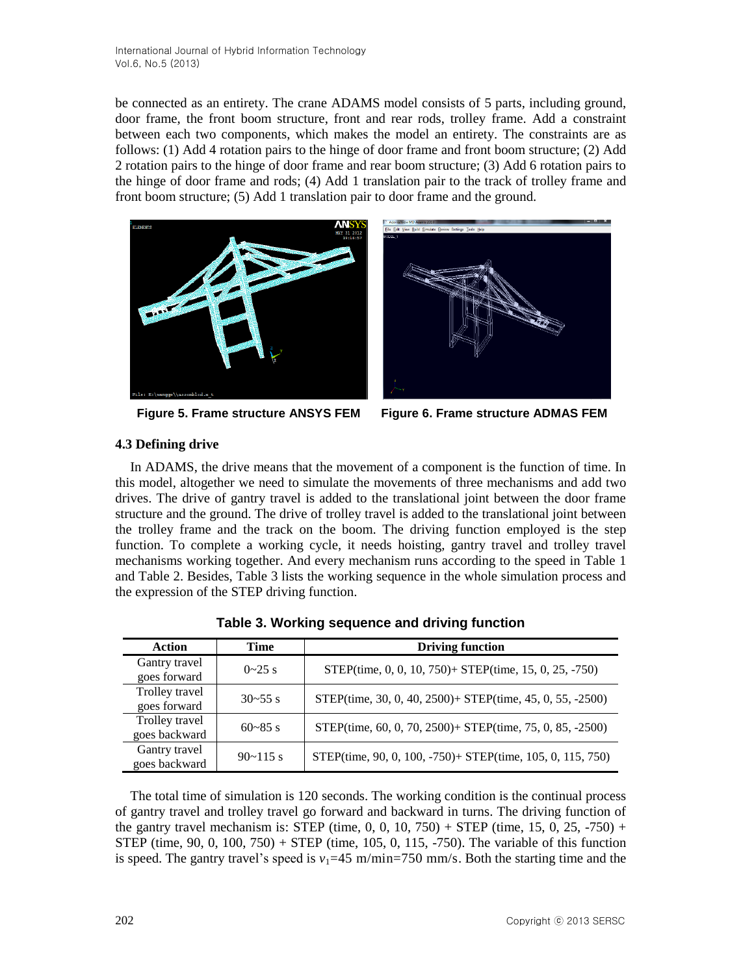be connected as an entirety. The crane ADAMS model consists of 5 parts, including ground, door frame, the front boom structure, front and rear rods, trolley frame. Add a constraint between each two components, which makes the model an entirety. The constraints are as follows: (1) Add 4 rotation pairs to the hinge of door frame and front boom structure; (2) Add 2 rotation pairs to the hinge of door frame and rear boom structure; (3) Add 6 rotation pairs to the hinge of door frame and rods; (4) Add 1 translation pair to the track of trolley frame and front boom structure; (5) Add 1 translation pair to door frame and the ground.





**Figure 5. Frame structure ANSYS FEM Figure 6. Frame structure ADMAS FEM**

# **4.3 Defining drive**

In ADAMS, the drive means that the movement of a component is the function of time. In this model, altogether we need to simulate the movements of three mechanisms and add two drives. The drive of gantry travel is added to the translational joint between the door frame structure and the ground. The drive of trolley travel is added to the translational joint between the trolley frame and the track on the boom. The driving function employed is the step function. To complete a working cycle, it needs hoisting, gantry travel and trolley travel mechanisms working together. And every mechanism runs according to the speed in Table 1 and Table 2. Besides, Table 3 lists the working sequence in the whole simulation process and the expression of the STEP driving function.

| Action                          | <b>Time</b>  | <b>Driving function</b>                                    |
|---------------------------------|--------------|------------------------------------------------------------|
| Gantry travel<br>goes forward   | $0 - 25$ s   | STEP(time, 0, 0, 10, 750)+ STEP(time, 15, 0, 25, -750)     |
| Trolley travel<br>goes forward  | $30 - 55$ s  | STEP(time, 30, 0, 40, 2500) + STEP(time, 45, 0, 55, -2500) |
| Trolley travel<br>goes backward | $60 - 85$ s  | STEP(time, 60, 0, 70, 2500)+ STEP(time, 75, 0, 85, -2500)  |
| Gantry travel<br>goes backward  | $90 - 115$ s | STEP(time, 90, 0, 100, -750)+ STEP(time, 105, 0, 115, 750) |

**Table 3. Working sequence and driving function**

The total time of simulation is 120 seconds. The working condition is the continual process of gantry travel and trolley travel go forward and backward in turns. The driving function of the gantry travel mechanism is: STEP (time,  $0, 0, 10, 750$ ) + STEP (time, 15, 0, 25,  $-750$ ) + STEP (time,  $90, 0, 100, 750$ ) + STEP (time,  $105, 0, 115, -750$ ). The variable of this function is speed. The gantry travel's speed is  $v_1$ =45 m/min=750 mm/s. Both the starting time and the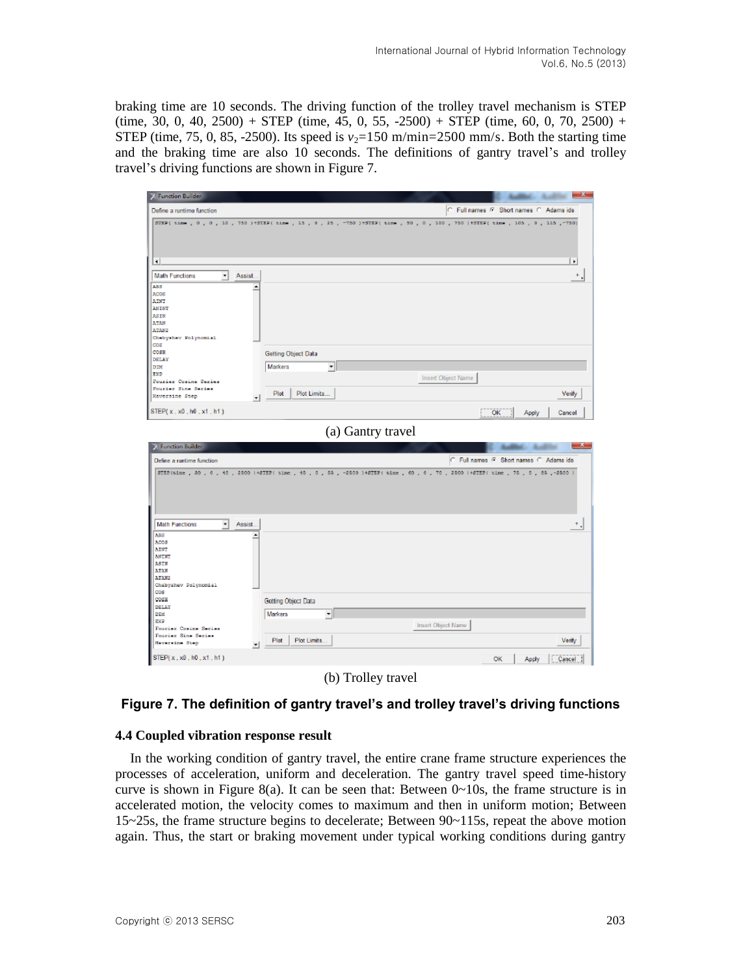braking time are 10 seconds. The driving function of the trolley travel mechanism is STEP  $(\text{time}, 30, 0, 40, 2500) + \text{STEP}$  (time, 45, 0, 55, -2500) + STEP (time, 60, 0, 70, 2500) + STEP (time, 75, 0, 85, -2500). Its speed is  $v_2$ =150 m/min=2500 mm/s. Both the starting time and the braking time are also 10 seconds. The definitions of gantry travel's and trolley travel's driving functions are shown in Figure 7.

| <b>X</b> Function Builder                                                                                                                                          |                      | $-x$                                                                                                                   |
|--------------------------------------------------------------------------------------------------------------------------------------------------------------------|----------------------|------------------------------------------------------------------------------------------------------------------------|
| Define a runtime function                                                                                                                                          |                      | C Full names C Short names C Adams ids                                                                                 |
|                                                                                                                                                                    |                      | 5TEP(time, 0, 0, 10, 750) +5TEP(time, 15, 0, 25, -750) +5TEP(time, 30, 0, 100, 750) +5TEP(time, 105, 0, 115, -750)     |
| ⅎ                                                                                                                                                                  |                      | ٠                                                                                                                      |
| $\vert \cdot \vert$<br>Assist.<br><b>Math Functions</b><br><b>A55</b><br>٠<br><b>ACOS</b><br>AINT<br>ANINT<br>ASIN<br>ATAN<br>ATAN2<br>Chebyshev Polynomial<br>COS |                      | $+$ ,                                                                                                                  |
| COSE                                                                                                                                                               | Getting Object Data  |                                                                                                                        |
| DELAY<br>DIM<br>EXP<br>Pourier Cosine Series                                                                                                                       | Markers<br>▾         | Insert Object Name                                                                                                     |
| Fourier Sine Series<br>Haversine Step<br>$\mathbf{r}$                                                                                                              | Plot<br>Plot Limits  | Verify                                                                                                                 |
| STEP(x, x0, h0, x1, h1)                                                                                                                                            |                      | ОΚ<br>Apply<br>Cancel                                                                                                  |
|                                                                                                                                                                    | (a) Gantry travel    |                                                                                                                        |
| <b>Eunction Builder</b>                                                                                                                                            |                      |                                                                                                                        |
| Define a runtime function                                                                                                                                          |                      | C Full names F Short names C Adams ids                                                                                 |
|                                                                                                                                                                    |                      | 8TEB(time, 80, 0, 40, 2500 1+8TEB  time, 45, 0, 55, -2500 )+8TEB(time, 60, 0, 70, 2500 1+8TEB  time, 75, 0, 85,-2500 1 |
| <b>Math Functions</b><br>$\bullet$<br>Assist                                                                                                                       |                      | $^{+}$ J                                                                                                               |
|                                                                                                                                                                    |                      |                                                                                                                        |
| <b>ABS</b><br>ACO 8<br>AINT<br><b>ANINT</b><br>ASIN<br><b>ATAN</b><br>ATAN2<br>Chebyshev Dolynomial                                                                |                      |                                                                                                                        |
| cos<br>COSH                                                                                                                                                        | Getting Object Data  |                                                                                                                        |
| DELAY<br>DIM                                                                                                                                                       | ╺║<br>Markers        |                                                                                                                        |
| RKP<br>Fourier Comine Series                                                                                                                                       |                      | Insert Object Name                                                                                                     |
| Fourier Sine Series<br>Naversine Step<br>$\left  \cdot \right $                                                                                                    | Plot Limits.<br>Plot | Verify                                                                                                                 |

(b) Trolley travel

# **Figure 7. The definition of gantry travel's and trolley travel's driving functions**

#### **4.4 Coupled vibration response result**

In the working condition of gantry travel, the entire crane frame structure experiences the processes of acceleration, uniform and deceleration. The gantry travel speed time-history curve is shown in Figure 8(a). It can be seen that: Between  $0 \sim 10s$ , the frame structure is in accelerated motion, the velocity comes to maximum and then in uniform motion; Between 15~25s, the frame structure begins to decelerate; Between 90~115s, repeat the above motion again. Thus, the start or braking movement under typical working conditions during gantry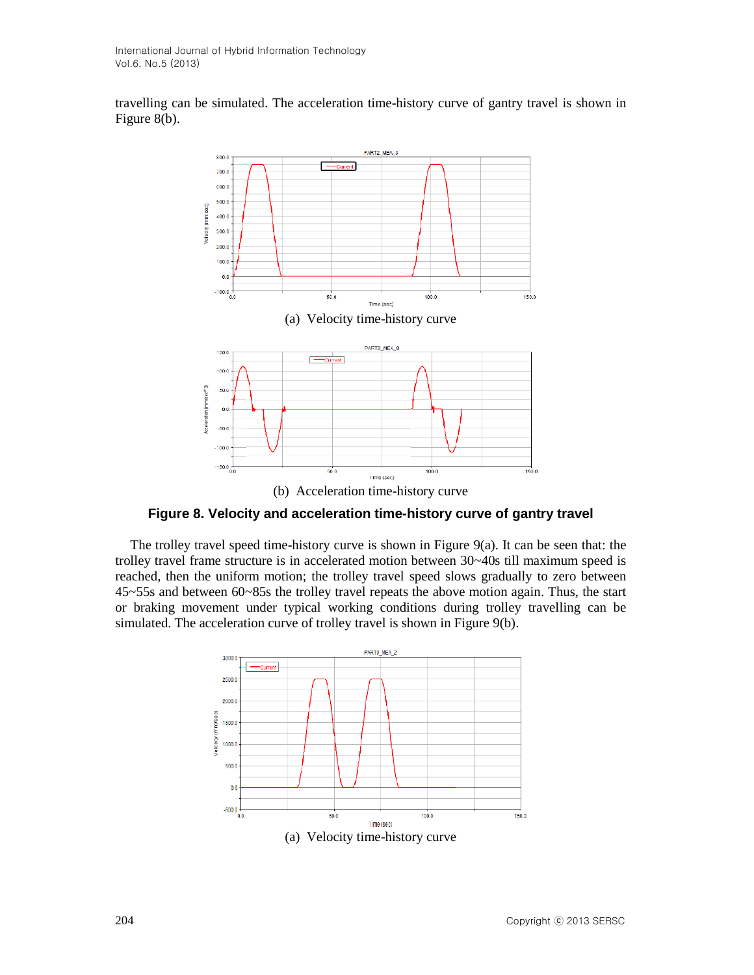travelling can be simulated. The acceleration time-history curve of gantry travel is shown in Figure 8(b).



**Figure 8. Velocity and acceleration time-history curve of gantry travel**

The trolley travel speed time-history curve is shown in Figure  $9(a)$ . It can be seen that: the trolley travel frame structure is in accelerated motion between 30~40s till maximum speed is reached, then the uniform motion; the trolley travel speed slows gradually to zero between 45~55s and between 60~85s the trolley travel repeats the above motion again. Thus, the start or braking movement under typical working conditions during trolley travelling can be simulated. The acceleration curve of trolley travel is shown in Figure 9(b).

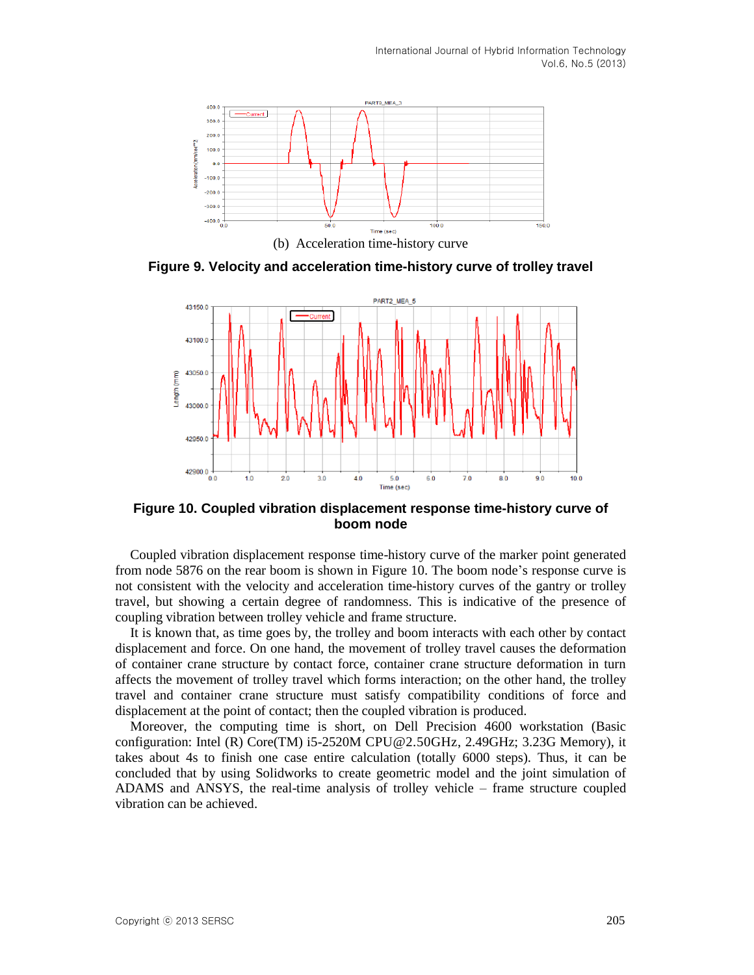

**Figure 9. Velocity and acceleration time-history curve of trolley travel**



**Figure 10. Coupled vibration displacement response time-history curve of boom node**

Coupled vibration displacement response time-history curve of the marker point generated from node 5876 on the rear boom is shown in Figure 10. The boom node's response curve is not consistent with the velocity and acceleration time-history curves of the gantry or trolley travel, but showing a certain degree of randomness. This is indicative of the presence of coupling vibration between trolley vehicle and frame structure.

It is known that, as time goes by, the trolley and boom interacts with each other by contact displacement and force. On one hand, the movement of trolley travel causes the deformation of container crane structure by contact force, container crane structure deformation in turn affects the movement of trolley travel which forms interaction; on the other hand, the trolley travel and container crane structure must satisfy compatibility conditions of force and displacement at the point of contact; then the coupled vibration is produced.

Moreover, the computing time is short, on Dell Precision 4600 workstation (Basic configuration: Intel (R) Core(TM) i5-2520M [CPU@2.50GHz,](mailto:CPU@2.50GHz) 2.49GHz; 3.23G Memory), it takes about 4s to finish one case entire calculation (totally 6000 steps). Thus, it can be concluded that by using Solidworks to create geometric model and the joint simulation of ADAMS and ANSYS, the real-time analysis of trolley vehicle – frame structure coupled vibration can be achieved.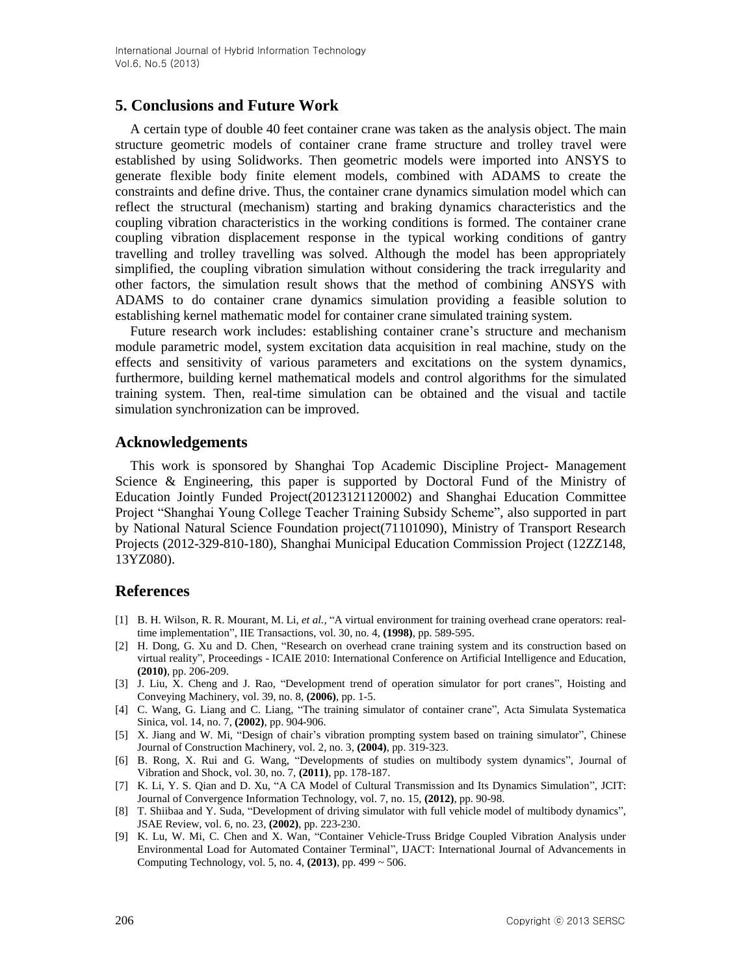# **5. Conclusions and Future Work**

A certain type of double 40 feet container crane was taken as the analysis object. The main structure geometric models of container crane frame structure and trolley travel were established by using Solidworks. Then geometric models were imported into ANSYS to generate flexible body finite element models, combined with ADAMS to create the constraints and define drive. Thus, the container crane dynamics simulation model which can reflect the structural (mechanism) starting and braking dynamics characteristics and the coupling vibration characteristics in the working conditions is formed. The container crane coupling vibration displacement response in the typical working conditions of gantry travelling and trolley travelling was solved. Although the model has been appropriately simplified, the coupling vibration simulation without considering the track irregularity and other factors, the simulation result shows that the method of combining ANSYS with ADAMS to do container crane dynamics simulation providing a feasible solution to establishing kernel mathematic model for container crane simulated training system.

Future research work includes: establishing container crane's structure and mechanism module parametric model, system excitation data acquisition in real machine, study on the effects and sensitivity of various parameters and excitations on the system dynamics, furthermore, building kernel mathematical models and control algorithms for the simulated training system. Then, real-time simulation can be obtained and the visual and tactile simulation synchronization can be improved.

## **Acknowledgements**

This work is sponsored by Shanghai Top Academic Discipline Project- Management Science & Engineering, this paper is supported by Doctoral Fund of the Ministry of Education Jointly Funded Project(20123121120002) and Shanghai Education Committee Project "Shanghai Young College Teacher Training Subsidy Scheme", also supported in part by National Natural Science Foundation project(71101090), Ministry of Transport Research Projects (2012-329-810-180), Shanghai Municipal Education Commission Project (12ZZ148, 13YZ080).

# **References**

- [1] B. H. Wilson, R. R. Mourant, M. Li, *et al.*, "A virtual environment for training overhead crane operators: realtime implementation", IIE Transactions, vol. 30, no. 4, **(1998)**, pp. 589-595.
- [2] H. Dong, G. Xu and D. Chen, "Research on overhead crane training system and its construction based on virtual reality", Proceedings - ICAIE 2010: International Conference on Artificial Intelligence and Education, **(2010)**, pp. 206-209.
- [3] J. Liu, X. Cheng and J. Rao, "Development trend of operation simulator for port cranes", Hoisting and Conveying Machinery, vol. 39, no. 8, **(2006)**, pp. 1-5.
- [4] C. Wang, G. Liang and C. Liang, "The training simulator of container crane", Acta Simulata Systematica Sinica, vol. 14, no. 7, **(2002)**, pp. 904-906.
- [5] X. Jiang and W. Mi, "Design of chair's vibration prompting system based on training simulator", Chinese Journal of Construction Machinery, vol. 2, no. 3, **(2004)**, pp. 319-323.
- [6] B. Rong, X. Rui and G. Wang, "Developments of studies on multibody system dynamics", Journal of Vibration and Shock, vol. 30, no. 7, **(2011)**, pp. 178-187.
- [7] K. Li, Y. S. Qian and D. Xu, "A CA Model of Cultural Transmission and Its Dynamics Simulation", JCIT: Journal of Convergence Information Technology, vol. 7, no. 15, **(2012)**, pp. 90-98.
- [8] T. Shiibaa and Y. Suda, "Development of driving simulator with full vehicle model of multibody dynamics", JSAE Review, vol. 6, no. 23, **(2002)**, pp. 223-230.
- [9] K. Lu, W. Mi, C. Chen and X. Wan, "Container Vehicle-Truss Bridge Coupled Vibration Analysis under Environmental Load for Automated Container Terminal", IJACT: International Journal of Advancements in Computing Technology, vol. 5, no. 4, **(2013)**, pp. 499 ~ 506.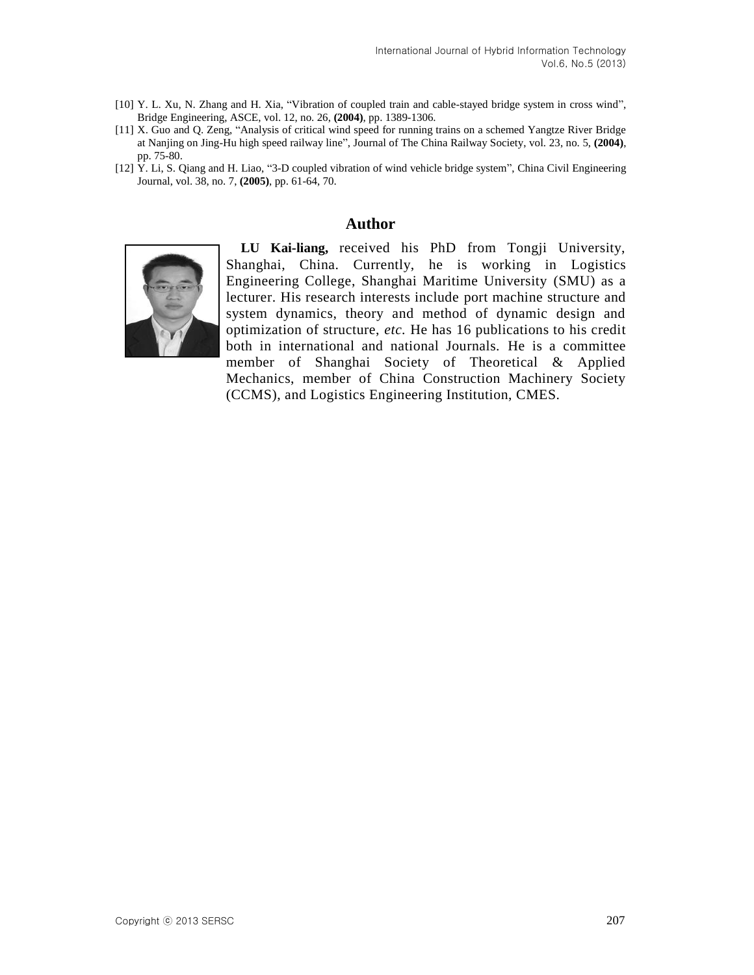- [10] Y. L. Xu, N. Zhang and H. Xia, "Vibration of coupled train and cable-stayed bridge system in cross wind", Bridge Engineering, ASCE, vol. 12, no. 26, **(2004)**, pp. 1389-1306.
- [11] X. Guo and Q. Zeng, "Analysis of critical wind speed for running trains on a schemed Yangtze River Bridge at Nanjing on Jing-Hu high speed railway line", Journal of The China Railway Society, vol. 23, no. 5, **(2004)**, pp. 75-80.
- [12] Y. Li, S. Qiang and H. Liao, "3-D coupled vibration of wind vehicle bridge system", China Civil Engineering Journal, vol. 38, no. 7, **(2005)**, pp. 61-64, 70.

#### **Author**



**LU Kai-liang,** received his PhD from Tongji University, Shanghai, China. Currently, he is working in Logistics Engineering College, Shanghai Maritime University (SMU) as a lecturer. His research interests include port machine structure and system dynamics, theory and method of dynamic design and optimization of structure, *etc.* He has 16 publications to his credit both in international and national Journals. He is a committee member of Shanghai Society of Theoretical & Applied Mechanics, member of China Construction Machinery Society (CCMS), and Logistics Engineering Institution, CMES.